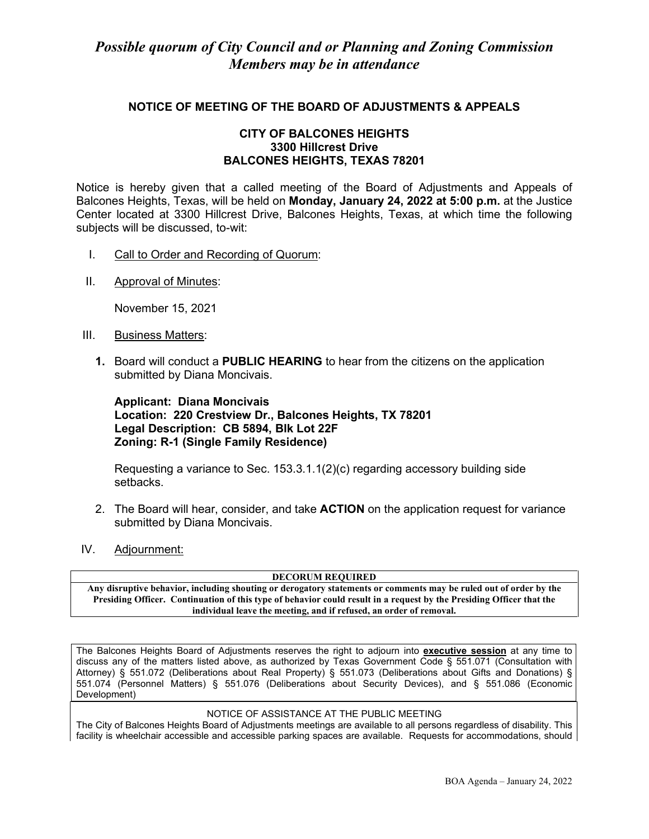#### **NOTICE OF MEETING OF THE BOARD OF ADJUSTMENTS & APPEALS**

#### **CITY OF BALCONES HEIGHTS 3300 Hillcrest Drive BALCONES HEIGHTS, TEXAS 78201**

Notice is hereby given that a called meeting of the Board of Adjustments and Appeals of Balcones Heights, Texas, will be held on **Monday, January 24, 2022 at 5:00 p.m.** at the Justice Center located at 3300 Hillcrest Drive, Balcones Heights, Texas, at which time the following subjects will be discussed, to-wit:

- I. Call to Order and Recording of Quorum:
- II. Approval of Minutes:

November 15, 2021

- III. Business Matters:
	- **1.** Board will conduct a **PUBLIC HEARING** to hear from the citizens on the application submitted by Diana Moncivais.

#### **Applicant: Diana Moncivais Location: 220 Crestview Dr., Balcones Heights, TX 78201 Legal Description: CB 5894, Blk Lot 22F Zoning: R-1 (Single Family Residence)**

Requesting a variance to Sec. 153.3.1.1(2)(c) regarding accessory building side setbacks.

- 2. The Board will hear, consider, and take **ACTION** on the application request for variance submitted by Diana Moncivais.
- IV. Adjournment:

**DECORUM REQUIRED**

**Any disruptive behavior, including shouting or derogatory statements or comments may be ruled out of order by the Presiding Officer. Continuation of this type of behavior could result in a request by the Presiding Officer that the individual leave the meeting, and if refused, an order of removal.**

The Balcones Heights Board of Adjustments reserves the right to adjourn into **executive session** at any time to discuss any of the matters listed above, as authorized by Texas Government Code § 551.071 (Consultation with Attorney) § 551.072 (Deliberations about Real Property) § 551.073 (Deliberations about Gifts and Donations) § 551.074 (Personnel Matters) § 551.076 (Deliberations about Security Devices), and § 551.086 (Economic Development)

#### NOTICE OF ASSISTANCE AT THE PUBLIC MEETING

The City of Balcones Heights Board of Adjustments meetings are available to all persons regardless of disability. This facility is wheelchair accessible and accessible parking spaces are available. Requests for accommodations, should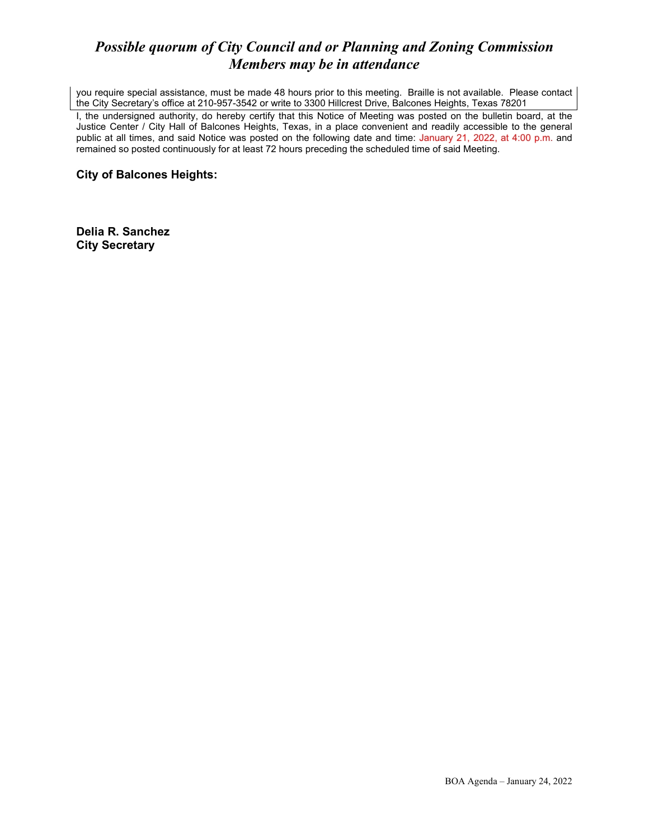## *Possible quorum of City Council and or Planning and Zoning Commission Members may be in attendance*

you require special assistance, must be made 48 hours prior to this meeting. Braille is not available. Please contact the City Secretary's office at 210-957-3542 or write to 3300 Hillcrest Drive, Balcones Heights, Texas 78201

I, the undersigned authority, do hereby certify that this Notice of Meeting was posted on the bulletin board, at the Justice Center / City Hall of Balcones Heights, Texas, in a place convenient and readily accessible to the general public at all times, and said Notice was posted on the following date and time: January 21, 2022, at 4:00 p.m. and remained so posted continuously for at least 72 hours preceding the scheduled time of said Meeting.

**City of Balcones Heights:**

**Delia R. Sanchez City Secretary**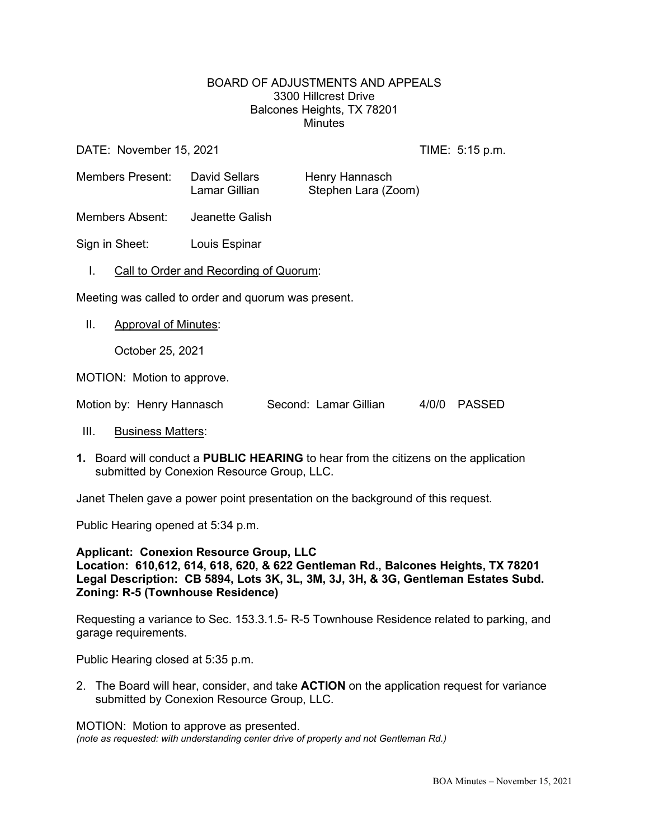#### BOARD OF ADJUSTMENTS AND APPEALS 3300 Hillcrest Drive Balcones Heights, TX 78201 **Minutes**

DATE: November 15, 2021 TIME: 5:15 p.m.

Members Present: David Sellars Henry Hannasch Lamar Gillian Stephen Lara (Zoom)

Members Absent: Jeanette Galish

Sign in Sheet: Louis Espinar

I. Call to Order and Recording of Quorum:

Meeting was called to order and quorum was present.

II. Approval of Minutes:

October 25, 2021

MOTION: Motion to approve.

Motion by: Henry Hannasch Second: Lamar Gillian 4/0/0 PASSED

- III. Business Matters:
- **1.** Board will conduct a **PUBLIC HEARING** to hear from the citizens on the application submitted by Conexion Resource Group, LLC.

Janet Thelen gave a power point presentation on the background of this request.

Public Hearing opened at 5:34 p.m.

#### **Applicant: Conexion Resource Group, LLC Location: 610,612, 614, 618, 620, & 622 Gentleman Rd., Balcones Heights, TX 78201 Legal Description: CB 5894, Lots 3K, 3L, 3M, 3J, 3H, & 3G, Gentleman Estates Subd. Zoning: R-5 (Townhouse Residence)**

Requesting a variance to Sec. 153.3.1.5- R-5 Townhouse Residence related to parking, and garage requirements.

Public Hearing closed at 5:35 p.m.

2. The Board will hear, consider, and take **ACTION** on the application request for variance submitted by Conexion Resource Group, LLC.

MOTION: Motion to approve as presented. *(note as requested: with understanding center drive of property and not Gentleman Rd.)*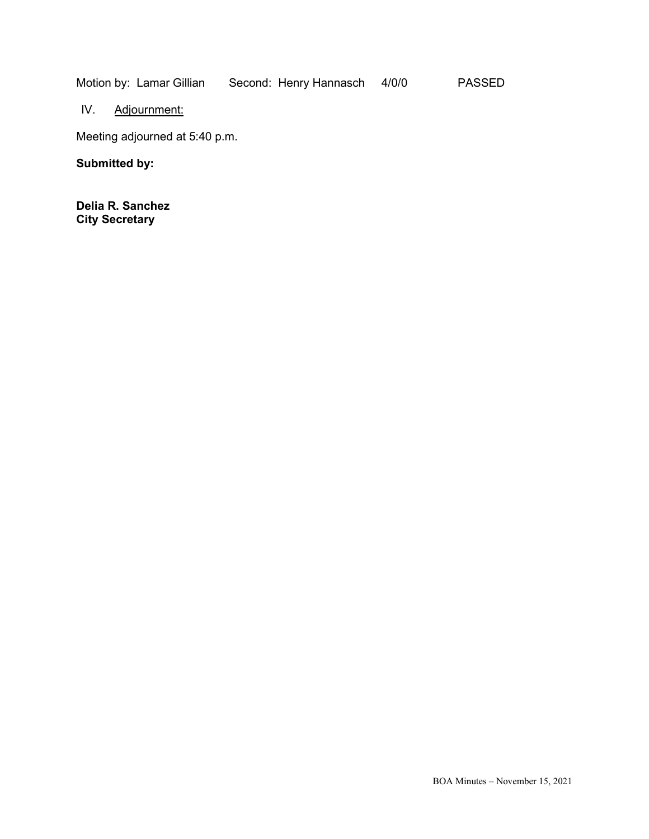Motion by: Lamar Gillian Second: Henry Hannasch 4/0/0 PASSED

IV. Adjournment:

Meeting adjourned at 5:40 p.m.

**Submitted by:**

**Delia R. Sanchez City Secretary**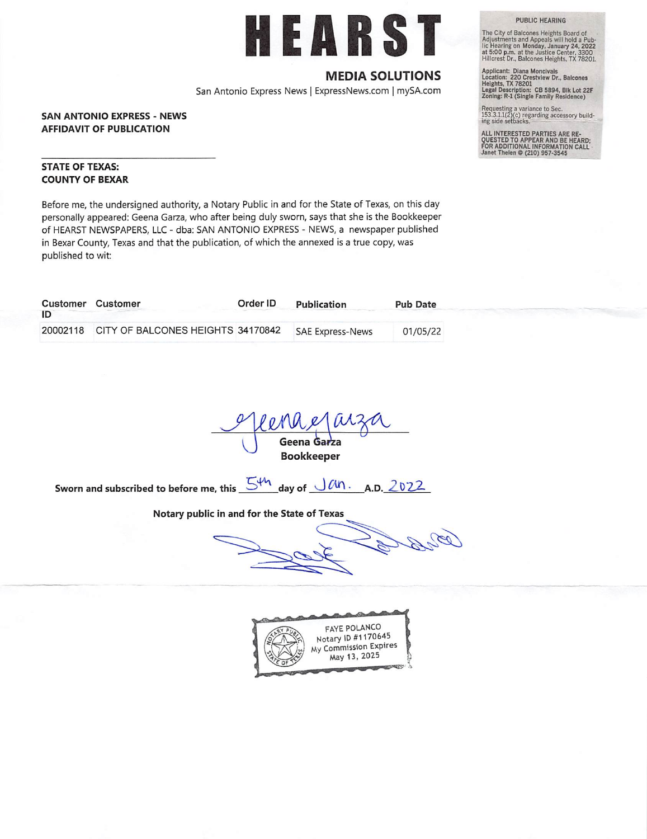# EARS

### **MEDIA SOLUTIONS**

San Antonio Express News | ExpressNews.com | mySA.com

#### **SAN ANTONIO EXPRESS - NEWS AFFIDAVIT OF PUBLICATION**

**STATE OF TEXAS: COUNTY OF BEXAR** 

Before me, the undersigned authority, a Notary Public in and for the State of Texas, on this day personally appeared: Geena Garza, who after being duly sworn, says that she is the Bookkeeper of HEARST NEWSPAPERS, LLC - dba: SAN ANTONIO EXPRESS - NEWS, a newspaper published in Bexar County, Texas and that the publication, of which the annexed is a true copy, was published to wit:

| ID | Customer Customer                          | Order ID | Publication             | <b>Pub Date</b> |
|----|--------------------------------------------|----------|-------------------------|-----------------|
|    | 20002118 CITY OF BALCONES HEIGHTS 34170842 |          | <b>SAE Express-News</b> | 01/05/22        |

Geena Garza **Bookkeeper** 

Sworn and subscribed to before me, this 5th day of Jan. A.D. 2022

Notary public in and for the State of Texas



**PUBLIC HEARING** 

The City of Balcones Heights Board of<br>Adjustments and Appeals will hold a Pub-<br>lic Hearing on Monday, January 24, 2022<br>at 5:00 p.m. at the Justice Center, 3300<br>Hillcrest Dr., Balcones Heights, TX 78201.

Applicant: Diana Moncivais<br>Location: 220 Crestview Dr., Balcones<br>Heights, TX 78201<br>Legal Description: CB 5894, Blk Lot 22F<br>Zoning: R-1 (Single Family Residence)

Requesting a variance to Sec.<br>153.3.1.1(2)(c) regarding accessory building side setbacks.

ALL INTERESTED PARTIES ARE RE-<br>QUESTED TO APPEAR AND BE HEARD;<br>FOR ADDITIONAL INFORMATION CALL<br>Janet Thelen @ (210) 957-3545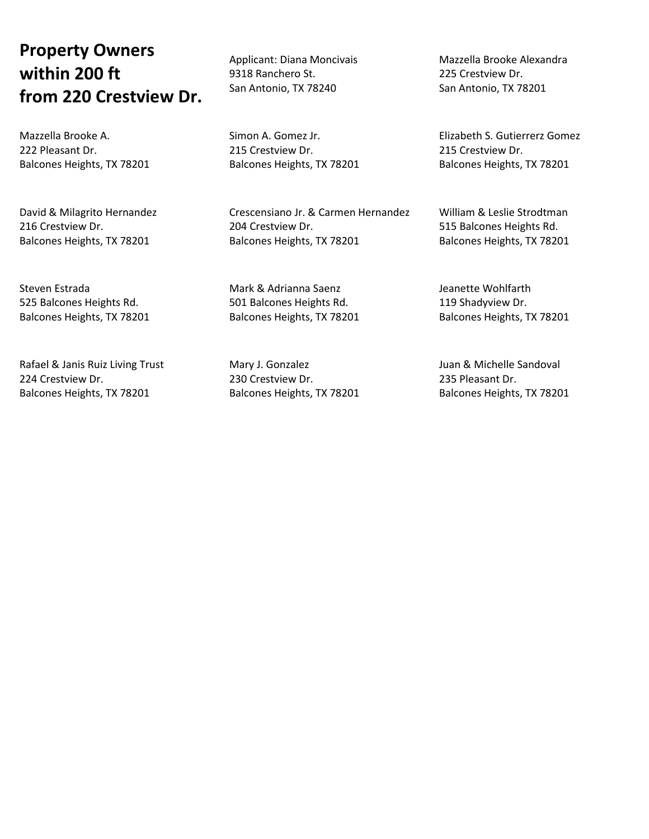# **Property Owners within 200 ft from 220 Crestview Dr.**

Mazzella Brooke A. 222 Pleasant Dr. Balcones Heights, TX 78201

David & Milagrito Hernandez 216 Crestview Dr. Balcones Heights, TX 78201

Steven Estrada 525 Balcones Heights Rd. Balcones Heights, TX 78201

Rafael & Janis Ruiz Living Trust 224 Crestview Dr. Balcones Heights, TX 78201

Applicant: Diana Moncivais 9318 Ranchero St. San Antonio, TX 78240

Simon A. Gomez Jr. 215 Crestview Dr. Balcones Heights, TX 78201

Crescensiano Jr. & Carmen Hernandez 204 Crestview Dr. Balcones Heights, TX 78201

Mark & Adrianna Saenz 501 Balcones Heights Rd. Balcones Heights, TX 78201

Mary J. Gonzalez 230 Crestview Dr. Balcones Heights, TX 78201 Mazzella Brooke Alexandra 225 Crestview Dr. San Antonio, TX 78201

Elizabeth S. Gutierrerz Gomez 215 Crestview Dr. Balcones Heights, TX 78201

William & Leslie Strodtman 515 Balcones Heights Rd. Balcones Heights, TX 78201

Jeanette Wohlfarth 119 Shadyview Dr. Balcones Heights, TX 78201

Juan & Michelle Sandoval 235 Pleasant Dr. Balcones Heights, TX 78201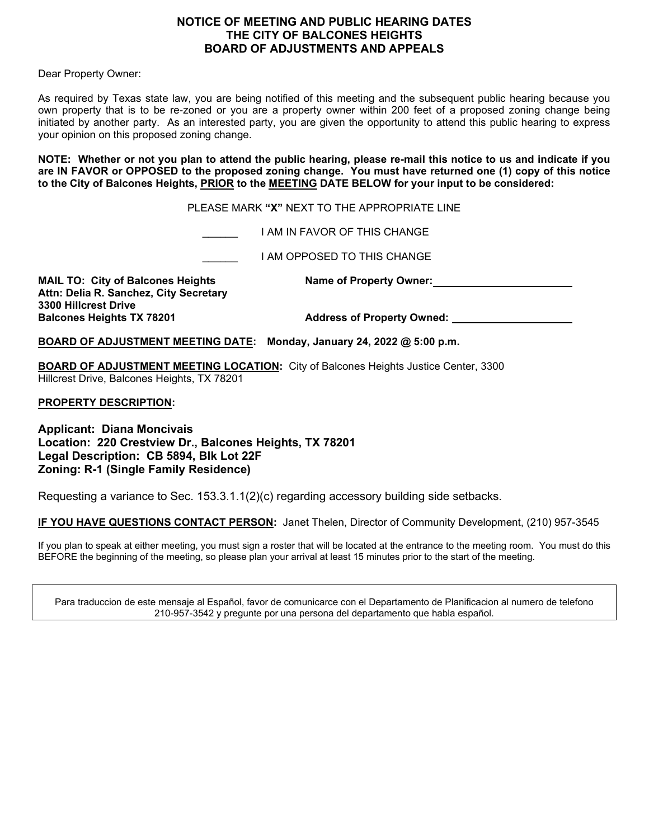#### **NOTICE OF MEETING AND PUBLIC HEARING DATES THE CITY OF BALCONES HEIGHTS BOARD OF ADJUSTMENTS AND APPEALS**

Dear Property Owner:

As required by Texas state law, you are being notified of this meeting and the subsequent public hearing because you own property that is to be re-zoned or you are a property owner within 200 feet of a proposed zoning change being initiated by another party. As an interested party, you are given the opportunity to attend this public hearing to express your opinion on this proposed zoning change.

**NOTE: Whether or not you plan to attend the public hearing, please re-mail this notice to us and indicate if you are IN FAVOR or OPPOSED to the proposed zoning change. You must have returned one (1) copy of this notice to the City of Balcones Heights, PRIOR to the MEETING DATE BELOW for your input to be considered:** 

PLEASE MARK **"X"** NEXT TO THE APPROPRIATE LINE

\_\_\_\_\_\_ I AM IN FAVOR OF THIS CHANGE

\_\_\_\_\_\_ I AM OPPOSED TO THIS CHANGE

**MAIL TO: City of Balcones Heights Name of Property Owner: Attn: Delia R. Sanchez, City Secretary 3300 Hillcrest Drive**

Address of Property Owned:

**BOARD OF ADJUSTMENT MEETING DATE: Monday, January 24, 2022 @ 5:00 p.m.**

**BOARD OF ADJUSTMENT MEETING LOCATION:** City of Balcones Heights Justice Center, 3300 Hillcrest Drive, Balcones Heights, TX 78201

**PROPERTY DESCRIPTION:** 

**Applicant: Diana Moncivais Location: 220 Crestview Dr., Balcones Heights, TX 78201 Legal Description: CB 5894, Blk Lot 22F Zoning: R-1 (Single Family Residence)**

Requesting a variance to Sec. 153.3.1.1(2)(c) regarding accessory building side setbacks.

**IF YOU HAVE QUESTIONS CONTACT PERSON:** Janet Thelen, Director of Community Development, (210) 957-3545

If you plan to speak at either meeting, you must sign a roster that will be located at the entrance to the meeting room. You must do this BEFORE the beginning of the meeting, so please plan your arrival at least 15 minutes prior to the start of the meeting.

Para traduccion de este mensaje al Español, favor de comunicarce con el Departamento de Planificacion al numero de telefono 210-957-3542 y pregunte por una persona del departamento que habla español.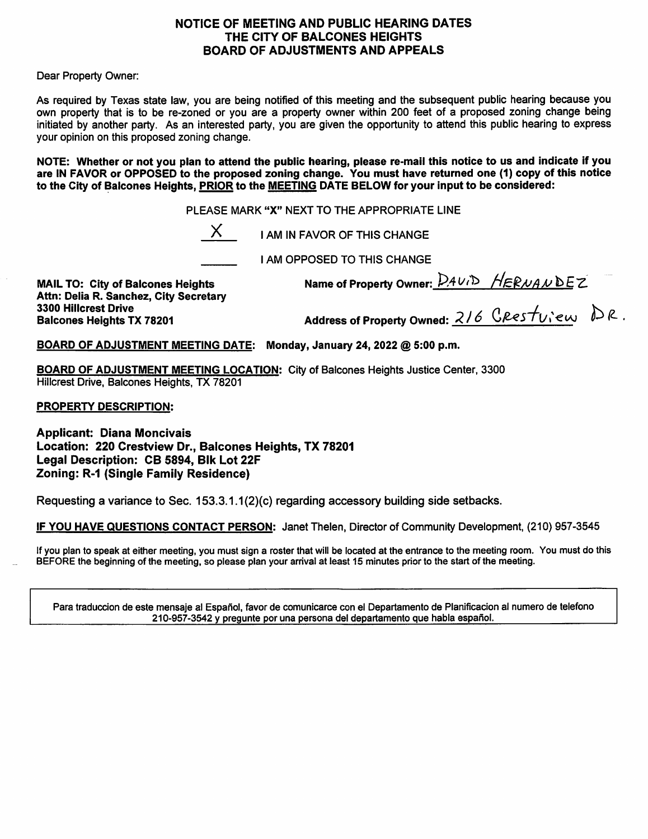#### NOTICE OF MEETING AND PUBLIC HEARING DATES THE CITY OF BALCONES HEIGHTS **BOARD OF ADJUSTMENTS AND APPEALS**

Dear Property Owner:

As required by Texas state law, you are being notified of this meeting and the subsequent public hearing because you own property that is to be re-zoned or you are a property owner within 200 feet of a proposed zoning change being initiated by another party. As an interested party, you are given the opportunity to attend this public hearing to express your opinion on this proposed zoning change.

NOTE: Whether or not you plan to attend the public hearing, please re-mail this notice to us and indicate if you are IN FAVOR or OPPOSED to the proposed zoning change. You must have returned one (1) copy of this notice to the City of Balcones Heights, PRIOR to the MEETING DATE BELOW for your input to be considered:

PLEASE MARK "X" NEXT TO THE APPROPRIATE LINE

 $X$  I AM IN FAVOR OF THIS CHANGE

**I AM OPPOSED TO THIS CHANGE** 

**MAIL TO: City of Balcones Heights** Attn: Delia R. Sanchez. City Secretary **3300 Hillcrest Drive Balcones Heights TX 78201** 

Name of Property Owner:  $DAvD$  HERNANDEZ<br>Address of Property Owned: 216 CResture DR.

BOARD OF ADJUSTMENT MEETING DATE: Monday, January 24, 2022 @ 5:00 p.m.

**BOARD OF ADJUSTMENT MEETING LOCATION:** City of Balcones Heights Justice Center, 3300 Hillcrest Drive, Balcones Heights, TX 78201

**PROPERTY DESCRIPTION:** 

**Applicant: Diana Moncivais** Location: 220 Crestview Dr., Balcones Heights, TX 78201 Legal Description: CB 5894, Blk Lot 22F **Zoning: R-1 (Single Family Residence)** 

Requesting a variance to Sec. 153.3.1.1(2)(c) regarding accessory building side setbacks.

IF YOU HAVE QUESTIONS CONTACT PERSON: Janet Thelen, Director of Community Development, (210) 957-3545

If you plan to speak at either meeting, you must sign a roster that will be located at the entrance to the meeting room. You must do this BEFORE the beginning of the meeting, so please plan your arrival at least 15 minutes prior to the start of the meeting.

Para traduccion de este mensaje al Español, favor de comunicarce con el Departamento de Planificacion al numero de telefono 210-957-3542 y pregunte por una persona del departamento que habla español.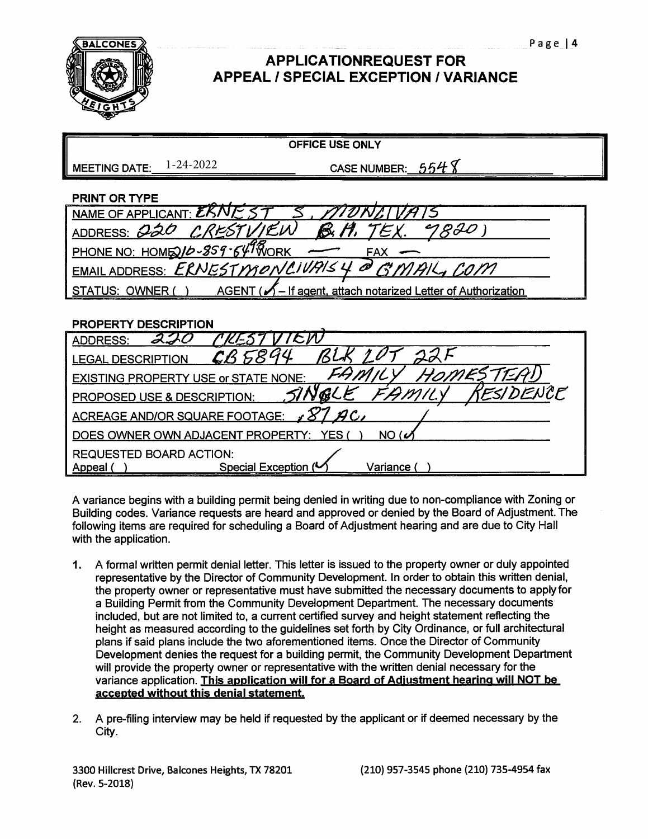

## **APPLICATIONREQUEST FOR APPEAL / SPECIAL EXCEPTION / VARIANCE**

| <b>MEETING DATE:</b>                               | 1-24-2022<br>CASE NUMBER: $554$ $8$                                          |  |  |  |
|----------------------------------------------------|------------------------------------------------------------------------------|--|--|--|
| <b>PRINT OR TYPE</b>                               |                                                                              |  |  |  |
| NAME OF APPLICANT: EKI                             |                                                                              |  |  |  |
| ADDRESS: 020                                       | 1820<br>$\prime$ F.U<br>倓                                                    |  |  |  |
| PHONE NO: HOMED16-859-647 WORK<br>FAX              |                                                                              |  |  |  |
| EMAIL ADDRESS: ERNESTMONCIUPIS 4 @<br>GMAIL, COM   |                                                                              |  |  |  |
| <b>STATUS: OWNER</b>                               | $AGENT$ ( $\mathcal{N}$ – If agent, attach notarized Letter of Authorization |  |  |  |
|                                                    |                                                                              |  |  |  |
| <b>PROPERTY DESCRIPTION</b>                        |                                                                              |  |  |  |
| <b>ADDRESS:</b>                                    | 'СӢ                                                                          |  |  |  |
| <b>LEGAL DESCRIPTION</b>                           |                                                                              |  |  |  |
| <b>EXISTING PROPERTY USE or STATE NONE:</b>        |                                                                              |  |  |  |
| ESIDENCF<br><b>PROPOSED USE &amp; DESCRIPTION:</b> |                                                                              |  |  |  |
| ACREAGE AND/OR SQUARE FOOTAGE:                     |                                                                              |  |  |  |
| DOES OWNER OWN ADJACENT PROPERTY:<br>NO (6<br>YFS  |                                                                              |  |  |  |
| <b>REQUESTED BOARD ACTION:</b>                     |                                                                              |  |  |  |
| Appeal                                             | Special Exception (<br>Variance (                                            |  |  |  |

**OFFICE USE ONLY** 

A variance begins with a building permit being denied in writing due to non-compliance with Zoning or Building codes. Variance requests are heard and approved or denied by the Board of Adjustment. The following items are required for scheduling a Board of Adjustment hearing and are due to City Hall with the application.

- 1. A formal written permit denial letter. This letter is issued to the property owner or duly appointed representative by the Director of Community Development. In order to obtain this written denial, the property owner or representative must have submitted the necessary documents to apply for a Building Permit from the Community Development Department. The necessary documents included, but are not limited to, a current certified survey and height statement reflecting the height as measured according to the guidelines set forth by City Ordinance, or full architectural plans if said plans include the two aforementioned items. Once the Director of Community Development denies the request for a building permit, the Community Development Department will provide the property owner or representative with the written denial necessary for the variance application. This application will for a Board of Adjustment hearing will NOT be accepted without this denial statement.
- $2.$ A pre-filing interview may be held if requested by the applicant or if deemed necessary by the City.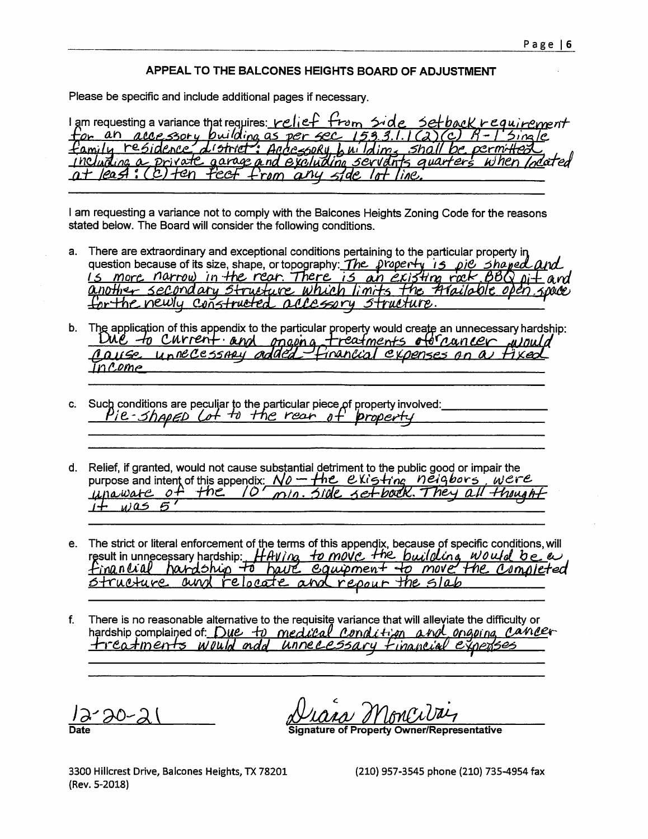#### APPEAL TO THE BALCONES HEIGHTS BOARD OF ADJUSTMENT

Please be specific and include additional pages if necessary.

I am requesting a variance that requires: relief from side cquirement tor an accessory building as per sec family residence  $d$  (strict AndressoRu Sho  $\mu_1$  Idim private garage and excluding servant s avarteri Юn rom  $\alpha$ nu 'i'ne

I am requesting a variance not to comply with the Balcones Heights Zoning Code for the reasons stated below. The Board will consider the following conditions.

- a. There are extraordinary and exceptional conditions pertaining to the particular property in question because of its size, shape, or topography: The property is pie shaped and is more narrow in the rear. There is an existing rack, BBQ pit and another secondary structure which limits the trailable open, space for the newly constructed accessory structure.
- b. The application of this appendix to the particular property would create an unnecessary hardship: Due to current and opening treatments of cancer wou nause unnecessmu added financial expenses on a n Comp
- Such conditions are peculiar to the particular piece of property involved:<br> $P_1 e 5 h \rho_1 e \rho_2$  (of to the rear of property  $C_{\cdot}$
- d. Relief, if granted, would not cause substantial detriment to the public good or impair the purpose and intent of this appendix:  $N\theta$  – the existing neigbors, were  $+nc$ unaware  $O<sub>1</sub>$  $\sqrt{O}$  $min$ setbook. They all thought  $1195$ 5
- e. The strict or literal enforcement of the terms of this appendix, because of specific conditions, will result in unnecessary hardship: HAVIng to move the building would be a financial handship to have equipment to move the consieted repour the <u>Strueture</u> ain relocate
- There is no reasonable alternative to the requisite variance that will alleviate the difficulty or  $f_{\cdot}$ hardship complained of Due to medical condition and organize cancer treatments would add unnecessary financial experises

**Property Owner/Representative** 

3300 Hillcrest Drive, Balcones Heights, TX 78201 (Rev. 5-2018)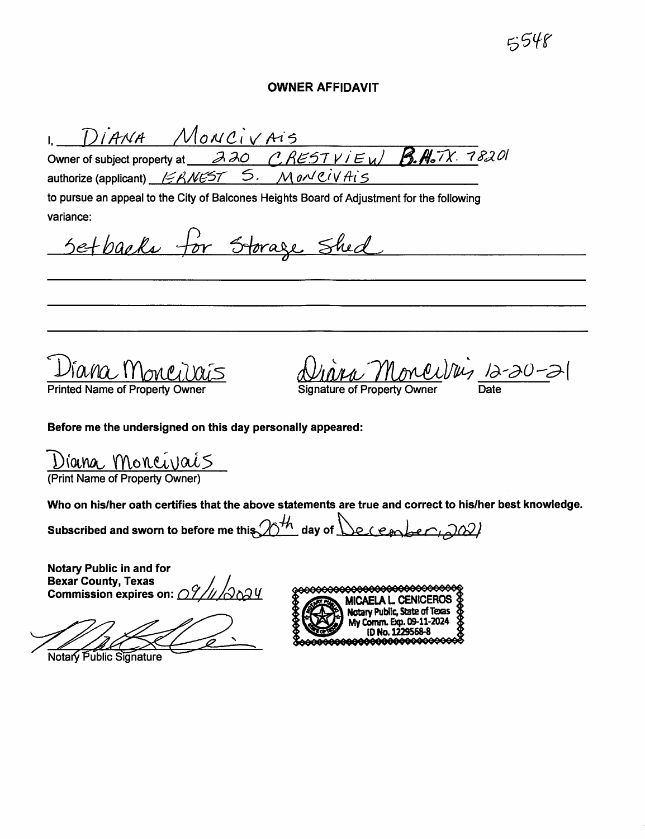# 5548

#### **OWNER AFFIDAVIT**

DIANA MONCIVAIS  $\mathbf{L}^{\text{max}}$ 

 $220$  CRESTVIEW Owner of subject property at S. MONCIVAIS authorize (applicant)  $\cancel{\text{FRMEST}}$ 

to pursue an appeal to the City of Balcones Heights Board of Adjustment for the following variance:

Setbacks for Storage Shed

**Printed Name of Property** 

Moncilles 12-20-21

 $R.H.7X. 78201$ 

Before me the undersigned on this day personally appeared:

| Diana Moncivais                |
|--------------------------------|
| (Print Name of Property Owner) |

Who on his/her oath certifies that the above statements are true and correct to his/her best knowledge.

Subscribed and sworn to before me this  $20<sup>th</sup>$  day of  $\bigcup_{e \in e}$  (each be  $\bigcap_{e \in A}$ )

Notary Public in and for **Bexar County, Texas** Dexar County, Texas<br>Commission expires on:  $O7/\sqrt{O}$ 

Notary Public Signature

<del>000000000000000000000000</del>0 MICAELA L. CENICEROS<br>Notary Public, State of Texas<br>My Comm. Exp. 09-11-2024 My Comm. Exp. 09-11-2024 ID No. 1229568-8 AAAAAAAAA886666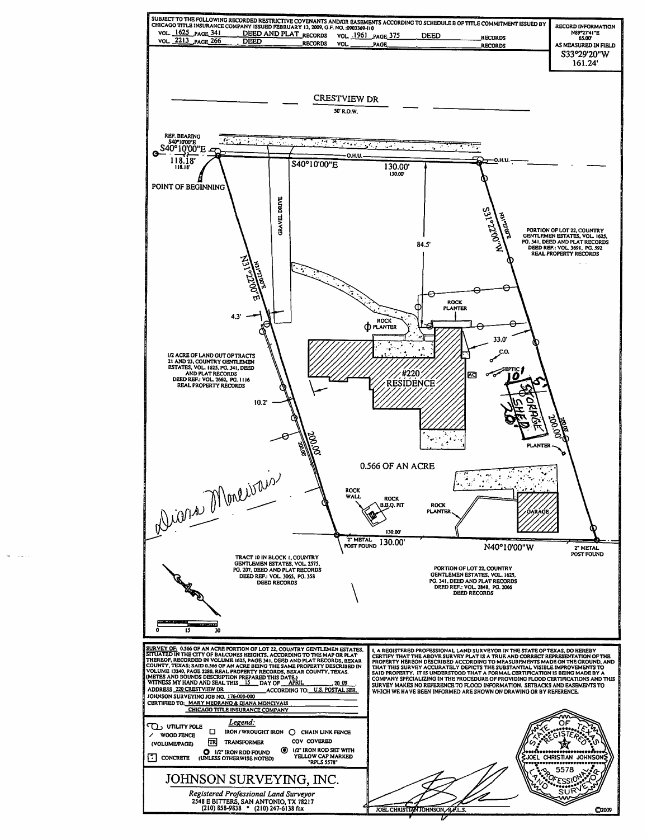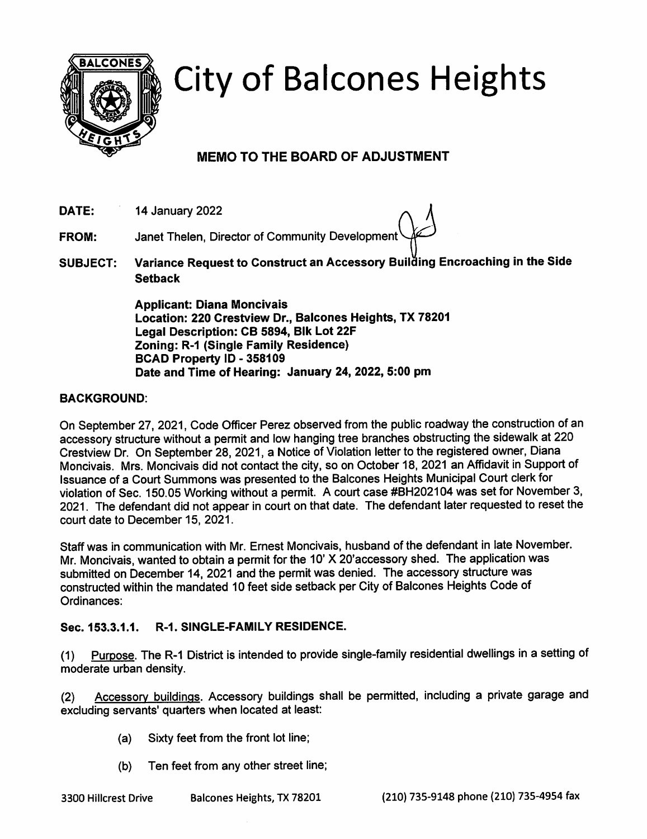

# **City of Balcones Heights**

## **MEMO TO THE BOARD OF ADJUSTMENT**

DATE: 14 January 2022

Janet Thelen, Director of Community Development **FROM:** 

Variance Request to Construct an Accessory Building Encroaching in the Side **SUBJECT: Setback** 

> **Applicant: Diana Moncivals** Location: 220 Crestview Dr., Balcones Heights, TX 78201 Legal Description: CB 5894, Blk Lot 22F **Zoning: R-1 (Single Family Residence)** BCAD Property ID - 358109 Date and Time of Hearing: January 24, 2022, 5:00 pm

#### **BACKGROUND:**

On September 27, 2021, Code Officer Perez observed from the public roadway the construction of an accessory structure without a permit and low hanging tree branches obstructing the sidewalk at 220 Crestview Dr. On September 28, 2021, a Notice of Violation letter to the registered owner, Diana Moncivais. Mrs. Moncivais did not contact the city, so on October 18, 2021 an Affidavit in Support of Issuance of a Court Summons was presented to the Balcones Heights Municipal Court clerk for violation of Sec. 150.05 Working without a permit. A court case #BH202104 was set for November 3, 2021. The defendant did not appear in court on that date. The defendant later requested to reset the court date to December 15, 2021.

Staff was in communication with Mr. Ernest Moncivais, husband of the defendant in late November. Mr. Moncivais, wanted to obtain a permit for the 10' X 20'accessory shed. The application was submitted on December 14, 2021 and the permit was denied. The accessory structure was constructed within the mandated 10 feet side setback per City of Balcones Heights Code of Ordinances:

#### Sec. 153.3.1.1. **R-1. SINGLE-FAMILY RESIDENCE.**

Purpose. The R-1 District is intended to provide single-family residential dwellings in a setting of  $(1)$ moderate urban density.

Accessory buildings. Accessory buildings shall be permitted, including a private garage and  $(2)$ excluding servants' quarters when located at least:

- Sixty feet from the front lot line;  $(a)$
- $(b)$ Ten feet from any other street line;